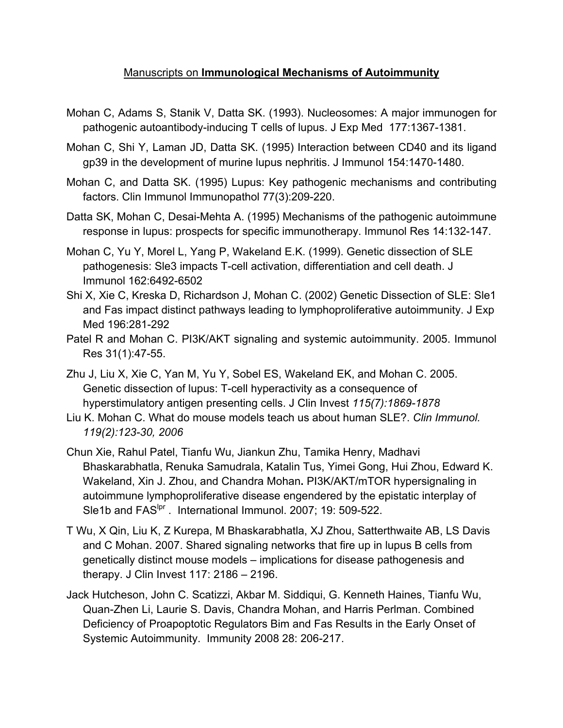## Manuscripts on **Immunological Mechanisms of Autoimmunity**

- Mohan C, Adams S, Stanik V, Datta SK. (1993). Nucleosomes: A major immunogen for pathogenic autoantibody-inducing T cells of lupus. J Exp Med 177:1367-1381.
- Mohan C, Shi Y, Laman JD, Datta SK. (1995) Interaction between CD40 and its ligand gp39 in the development of murine lupus nephritis. J Immunol 154:1470-1480.
- Mohan C, and Datta SK. (1995) Lupus: Key pathogenic mechanisms and contributing factors. Clin Immunol Immunopathol 77(3):209-220.
- Datta SK, Mohan C, Desai-Mehta A. (1995) Mechanisms of the pathogenic autoimmune response in lupus: prospects for specific immunotherapy. Immunol Res 14:132-147.
- Mohan C, Yu Y, Morel L, Yang P, Wakeland E.K. (1999). Genetic dissection of SLE pathogenesis: Sle3 impacts T-cell activation, differentiation and cell death. J Immunol 162:6492-6502
- Shi X, Xie C, Kreska D, Richardson J, Mohan C. (2002) Genetic Dissection of SLE: Sle1 and Fas impact distinct pathways leading to lymphoproliferative autoimmunity. J Exp Med 196:281-292
- Patel R and Mohan C. PI3K/AKT signaling and systemic autoimmunity. 2005. Immunol Res 31(1):47-55.
- Zhu J, Liu X, Xie C, Yan M, Yu Y, Sobel ES, Wakeland EK, and Mohan C. 2005. Genetic dissection of lupus: T-cell hyperactivity as a consequence of hyperstimulatory antigen presenting cells. J Clin Invest *115(7):1869-1878*
- Liu K. Mohan C. What do mouse models teach us about human SLE?. *Clin Immunol. 119(2):123-30, 2006*
- Chun Xie, Rahul Patel, Tianfu Wu, Jiankun Zhu, Tamika Henry, Madhavi Bhaskarabhatla, Renuka Samudrala, Katalin Tus, Yimei Gong, Hui Zhou, Edward K. Wakeland, Xin J. Zhou, and Chandra Mohan**.** PI3K/AKT/mTOR hypersignaling in autoimmune lymphoproliferative disease engendered by the epistatic interplay of Sle1b and FAS<sup>lpr</sup>. International Immunol. 2007; 19: 509-522.
- T Wu, X Qin, Liu K, Z Kurepa, M Bhaskarabhatla, XJ Zhou, Satterthwaite AB, LS Davis and C Mohan. 2007. Shared signaling networks that fire up in lupus B cells from genetically distinct mouse models – implications for disease pathogenesis and therapy. J Clin Invest 117: 2186 – 2196.
- Jack Hutcheson, John C. Scatizzi, Akbar M. Siddiqui, G. Kenneth Haines, Tianfu Wu, Quan-Zhen Li, Laurie S. Davis, Chandra Mohan, and Harris Perlman. Combined Deficiency of Proapoptotic Regulators Bim and Fas Results in the Early Onset of Systemic Autoimmunity. Immunity 2008 28: 206-217.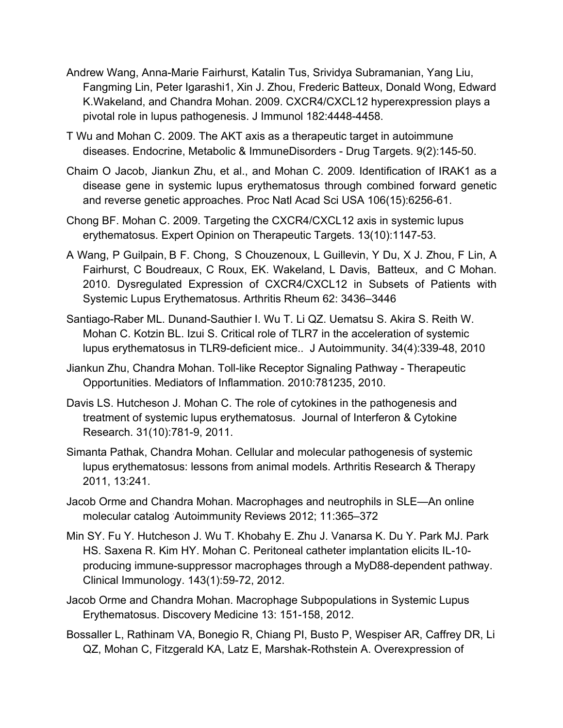- Andrew Wang, Anna-Marie Fairhurst, Katalin Tus, Srividya Subramanian, Yang Liu, Fangming Lin, Peter Igarashi1, Xin J. Zhou, Frederic Batteux, Donald Wong, Edward K.Wakeland, and Chandra Mohan. 2009. CXCR4/CXCL12 hyperexpression plays a pivotal role in lupus pathogenesis. J Immunol 182:4448-4458.
- T Wu and Mohan C. 2009. The AKT axis as a therapeutic target in autoimmune diseases. Endocrine, Metabolic & ImmuneDisorders - Drug Targets. 9(2):145-50.
- Chaim O Jacob, Jiankun Zhu, et al., and Mohan C. 2009. Identification of IRAK1 as a disease gene in systemic lupus erythematosus through combined forward genetic and reverse genetic approaches. Proc Natl Acad Sci USA 106(15):6256-61.
- Chong BF. Mohan C. 2009. Targeting the CXCR4/CXCL12 axis in systemic lupus erythematosus. Expert Opinion on Therapeutic Targets. 13(10):1147-53.
- A Wang, P Guilpain, B F. Chong, S Chouzenoux, L Guillevin, Y Du, X J. Zhou, F Lin, A Fairhurst, C Boudreaux, C Roux, EK. Wakeland, L Davis, Batteux, and C Mohan. 2010. Dysregulated Expression of CXCR4/CXCL12 in Subsets of Patients with Systemic Lupus Erythematosus. Arthritis Rheum 62: 3436–3446
- Santiago-Raber ML. Dunand-Sauthier I. Wu T. Li QZ. Uematsu S. Akira S. Reith W. Mohan C. Kotzin BL. Izui S. Critical role of TLR7 in the acceleration of systemic lupus erythematosus in TLR9-deficient mice.. J Autoimmunity. 34(4):339-48, 2010
- Jiankun Zhu, Chandra Mohan. Toll-like Receptor Signaling Pathway Therapeutic Opportunities. Mediators of Inflammation. 2010:781235, 2010.
- Davis LS. Hutcheson J. Mohan C. The role of cytokines in the pathogenesis and treatment of systemic lupus erythematosus. Journal of Interferon & Cytokine Research. 31(10):781-9, 2011.
- Simanta Pathak, Chandra Mohan. Cellular and molecular pathogenesis of systemic lupus erythematosus: lessons from animal models. Arthritis Research & Therapy 2011, 13:241.
- Jacob Orme and Chandra Mohan. Macrophages and neutrophils in SLE—An online molecular catalog . Autoimmunity Reviews 2012; 11:365–372
- Min SY. Fu Y. Hutcheson J. Wu T. Khobahy E. Zhu J. Vanarsa K. Du Y. Park MJ. Park HS. Saxena R. Kim HY. Mohan C. Peritoneal catheter implantation elicits IL-10 producing immune-suppressor macrophages through a MyD88-dependent pathway. Clinical Immunology. 143(1):59-72, 2012.
- Jacob Orme and Chandra Mohan. Macrophage Subpopulations in Systemic Lupus Erythematosus. Discovery Medicine 13: 151-158, 2012.
- Bossaller L, Rathinam VA, Bonegio R, Chiang PI, Busto P, Wespiser AR, Caffrey DR, Li QZ, Mohan C, Fitzgerald KA, Latz E, Marshak-Rothstein A. Overexpression of